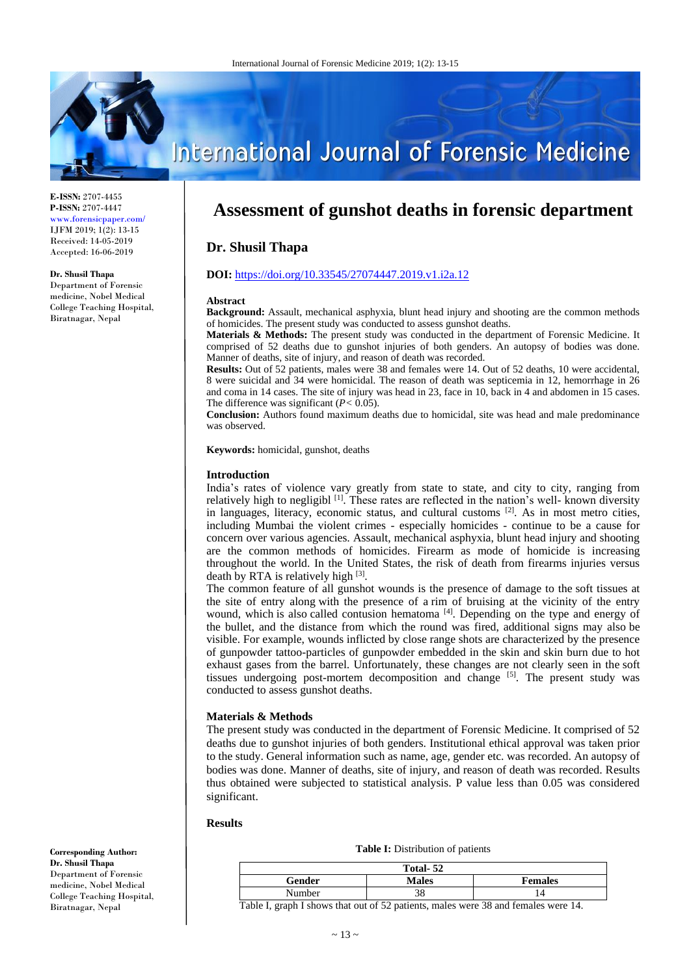

#### **E-ISSN:** 2707-4455 **P-ISSN:** 2707-4447 www.forensicpaper.com/ IJFM 2019; 1(2): 13-15 Received: 14-05-2019 Accepted: 16-06-2019

#### **Dr. Shusil Thapa**

Department of Forensic medicine, Nobel Medical College Teaching Hospital, Biratnagar, Nepal

**International Journal of Forensic Medicine** 

# **Assessment of gunshot deaths in forensic department**

## **Dr. Shusil Thapa**

### **DOI:** <https://doi.org/10.33545/27074447.2019.v1.i2a.12>

#### **Abstract**

**Background:** Assault, mechanical asphyxia, blunt head injury and shooting are the common methods of homicides. The present study was conducted to assess gunshot deaths.

**Materials & Methods:** The present study was conducted in the department of Forensic Medicine. It comprised of 52 deaths due to gunshot injuries of both genders. An autopsy of bodies was done. Manner of deaths, site of injury, and reason of death was recorded.

**Results:** Out of 52 patients, males were 38 and females were 14. Out of 52 deaths, 10 were accidental, 8 were suicidal and 34 were homicidal. The reason of death was septicemia in 12, hemorrhage in 26 and coma in 14 cases. The site of injury was head in 23, face in 10, back in 4 and abdomen in 15 cases. The difference was significant (*P<* 0.05).

**Conclusion:** Authors found maximum deaths due to homicidal, site was head and male predominance was observed.

**Keywords:** homicidal, gunshot, deaths

#### **Introduction**

India's rates of violence vary greatly from state to state, and city to city, ranging from relatively high to negligibl <sup>[1]</sup>. These rates are reflected in the nation's well- known diversity in languages, literacy, economic status, and cultural customs  $[2]$ . As in most metro cities, including Mumbai the violent crimes - especially homicides - continue to be a cause for concern over various agencies. Assault, mechanical asphyxia, blunt head injury and shooting are the common methods of homicides. Firearm as mode of homicide is increasing throughout the world. In the United States, the risk of death from firearms injuries versus death by RTA is relatively high [3].

The common feature of all gunshot wounds is the presence of damage to the soft tissues at the site of entry along with the presence of a rim of bruising at the vicinity of the entry wound, which is also called contusion hematoma <sup>[4]</sup>. Depending on the type and energy of the bullet, and the distance from which the round was fired, additional signs may also be visible. For example, wounds inflicted by close range shots are characterized by the presence of gunpowder tattoo-particles of gunpowder embedded in the skin and skin burn due to hot exhaust gases from the barrel. Unfortunately, these changes are not clearly seen in the soft tissues undergoing post-mortem decomposition and change [5]. The present study was conducted to assess gunshot deaths.

#### **Materials & Methods**

The present study was conducted in the department of Forensic Medicine. It comprised of 52 deaths due to gunshot injuries of both genders. Institutional ethical approval was taken prior to the study. General information such as name, age, gender etc. was recorded. An autopsy of bodies was done. Manner of deaths, site of injury, and reason of death was recorded. Results thus obtained were subjected to statistical analysis. P value less than 0.05 was considered significant.

#### **Results**

| Total-52 |              |                |
|----------|--------------|----------------|
| Gender   | <b>Males</b> | <b>Females</b> |
| Number   |              | $\overline{4}$ |

Table I, graph I shows that out of 52 patients, males were 38 and females were 14.

**Corresponding Author: Dr. Shusil Thapa** Department of Forensic medicine, Nobel Medical College Teaching Hospital, Biratnagar, Nepal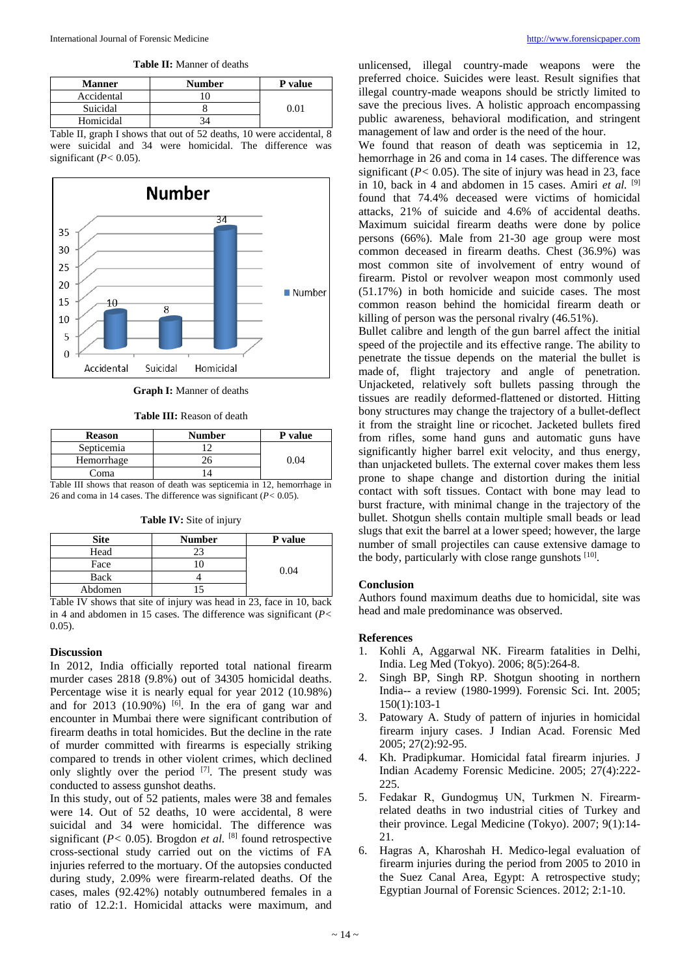**Table II:** Manner of deaths

| <b>Manner</b> | <b>Number</b> | P value |
|---------------|---------------|---------|
| Accidental    |               |         |
| Suicidal      |               | ን በ1    |
| Homicidal     |               |         |

Table II, graph I shows that out of 52 deaths, 10 were accidental, 8 were suicidal and 34 were homicidal. The difference was significant (*P<* 0.05).



**Graph I:** Manner of deaths

**Table III:** Reason of death

| <b>Reason</b> | <b>Number</b>                                                           | <b>P</b> value |
|---------------|-------------------------------------------------------------------------|----------------|
| Septicemia    |                                                                         |                |
| Hemorrhage    | 26                                                                      | 9.04           |
| Coma          |                                                                         |                |
|               | Table III shows that reason of death was senticemia in 12 hemorrhage in |                |

Table III shows that reason of death was septicemia in 12, hemorrhage in 26 and coma in 14 cases. The difference was significant (*P<* 0.05).

|      | $\cdot$<br>- |         |  |
|------|--------------|---------|--|
| Site | Number       | P value |  |
| Head |              |         |  |

Back 4<br>bdomen 15

**Table IV:** Site of injury

| Table IV shows that site of injury was head in 23, face in 10, back |  |
|---------------------------------------------------------------------|--|
| in 4 and abdomen in 15 cases. The difference was significant ( $P<$ |  |
| $0.05$ ).                                                           |  |

Face  $\begin{array}{|c|c|c|c|}\n\hline\n\text{Pock} & & 10 & & 0.04 \\
\hline\n\end{array}$ 

#### **Discussion**

Abdomen

In 2012, India officially reported total national firearm murder cases 2818 (9.8%) out of 34305 homicidal deaths. Percentage wise it is nearly equal for year 2012 (10.98%) and for  $2013$  (10.90%)  $\left[6\right]$ . In the era of gang war and encounter in Mumbai there were significant contribution of firearm deaths in total homicides. But the decline in the rate of murder committed with firearms is especially striking compared to trends in other violent crimes, which declined only slightly over the period  $[7]$ . The present study was conducted to assess gunshot deaths.

In this study, out of 52 patients, males were 38 and females were 14. Out of 52 deaths, 10 were accidental, 8 were suicidal and 34 were homicidal. The difference was significant  $(P < 0.05)$ . Brogdon *et al.* [8] found retrospective cross-sectional study carried out on the victims of FA injuries referred to the mortuary. Of the autopsies conducted during study, 2.09% were firearm-related deaths. Of the cases, males (92.42%) notably outnumbered females in a ratio of 12.2:1. Homicidal attacks were maximum, and unlicensed, illegal country-made weapons were the preferred choice. Suicides were least. Result signifies that illegal country-made weapons should be strictly limited to save the precious lives. A holistic approach encompassing public awareness, behavioral modification, and stringent management of law and order is the need of the hour.

We found that reason of death was septicemia in 12, hemorrhage in 26 and coma in 14 cases. The difference was significant  $(P< 0.05)$ . The site of injury was head in 23, face in 10, back in 4 and abdomen in 15 cases. Amiri *et al.* <sup>[9]</sup> found that 74.4% deceased were victims of homicidal attacks, 21% of suicide and 4.6% of accidental deaths. Maximum suicidal firearm deaths were done by police persons (66%). Male from 21-30 age group were most common deceased in firearm deaths. Chest (36.9%) was most common site of involvement of entry wound of firearm. Pistol or revolver weapon most commonly used (51.17%) in both homicide and suicide cases. The most common reason behind the homicidal firearm death or killing of person was the personal rivalry (46.51%).

Bullet calibre and length of the gun barrel affect the initial speed of the projectile and its effective range. The ability to penetrate the tissue depends on the material the bullet is made of, flight trajectory and angle of penetration. Unjacketed, relatively soft bullets passing through the tissues are readily deformed-flattened or distorted. Hitting bony structures may change the trajectory of a bullet-deflect it from the straight line or ricochet. Jacketed bullets fired from rifles, some hand guns and automatic guns have significantly higher barrel exit velocity, and thus energy, than unjacketed bullets. The external cover makes them less prone to shape change and distortion during the initial contact with soft tissues. Contact with bone may lead to burst fracture, with minimal change in the trajectory of the bullet. Shotgun shells contain multiple small beads or lead slugs that exit the barrel at a lower speed; however, the large number of small projectiles can cause extensive damage to the body, particularly with close range gunshots [10].

#### **Conclusion**

Authors found maximum deaths due to homicidal, site was head and male predominance was observed.

#### **References**

- 1. Kohli A, Aggarwal NK. Firearm fatalities in Delhi, India. Leg Med (Tokyo). 2006; 8(5):264-8.
- 2. Singh BP, Singh RP. Shotgun shooting in northern India-- a review (1980-1999). Forensic Sci. Int. 2005; 150(1):103-1
- 3. Patowary A. Study of pattern of injuries in homicidal firearm injury cases. J Indian Acad. Forensic Med 2005; 27(2):92-95.
- 4. Kh. Pradipkumar. Homicidal fatal firearm injuries. J Indian Academy Forensic Medicine. 2005; 27(4):222- 225.
- 5. Fedakar R, Gundogmuş UN, Turkmen N. Firearmrelated deaths in two industrial cities of Turkey and their province. Legal Medicine (Tokyo). 2007; 9(1):14- 21.
- 6. Hagras A, Kharoshah H. Medico-legal evaluation of firearm injuries during the period from 2005 to 2010 in the Suez Canal Area, Egypt: A retrospective study; Egyptian Journal of Forensic Sciences. 2012; 2:1-10.